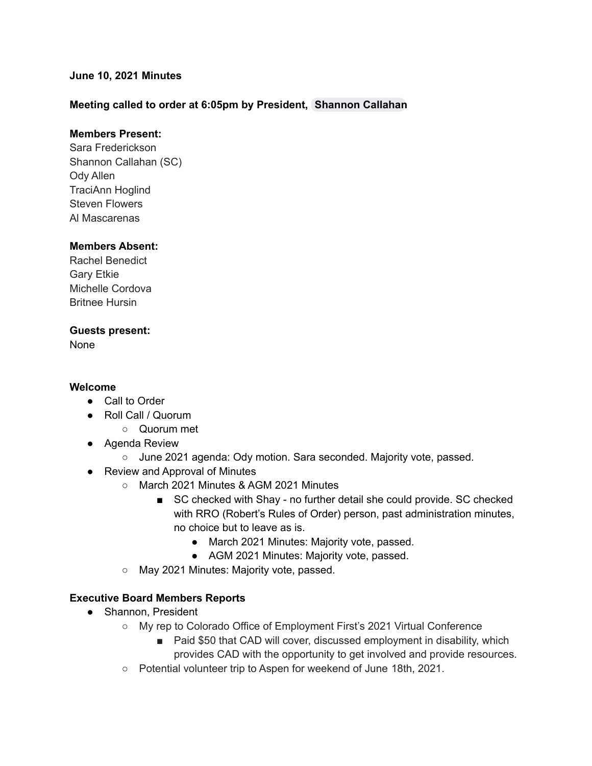### **June 10, 2021 Minutes**

### **Meeting called to order at 6:05pm by President, [Shannon](mailto:scallahan@cadeaf.org) Callahan**

### **Members Present:**

Sara Frederickson Shannon Callahan (SC) Ody Allen TraciAnn Hoglind Steven Flowers Al Mascarenas

### **Members Absent:**

Rachel Benedict Gary Etkie Michelle Cordova Britnee Hursin

### **Guests present:**

None

### **Welcome**

- Call to Order
- Roll Call / Quorum
	- Quorum met
- Agenda Review
	- June 2021 agenda: Ody motion. Sara seconded. Majority vote, passed.
- Review and Approval of Minutes
	- March 2021 Minutes & AGM 2021 Minutes
		- SC checked with Shay no further detail she could provide. SC checked with RRO (Robert's Rules of Order) person, past administration minutes, no choice but to leave as is.
			- March 2021 Minutes: Majority vote, passed.
			- AGM 2021 Minutes: Majority vote, passed.
	- May 2021 Minutes: Majority vote, passed.

### **Executive Board Members Reports**

- Shannon, President
	- My rep to Colorado Office of Employment First's 2021 Virtual Conference
		- Paid \$50 that CAD will cover, discussed employment in disability, which provides CAD with the opportunity to get involved and provide resources.
	- Potential volunteer trip to Aspen for weekend of June 18th, 2021.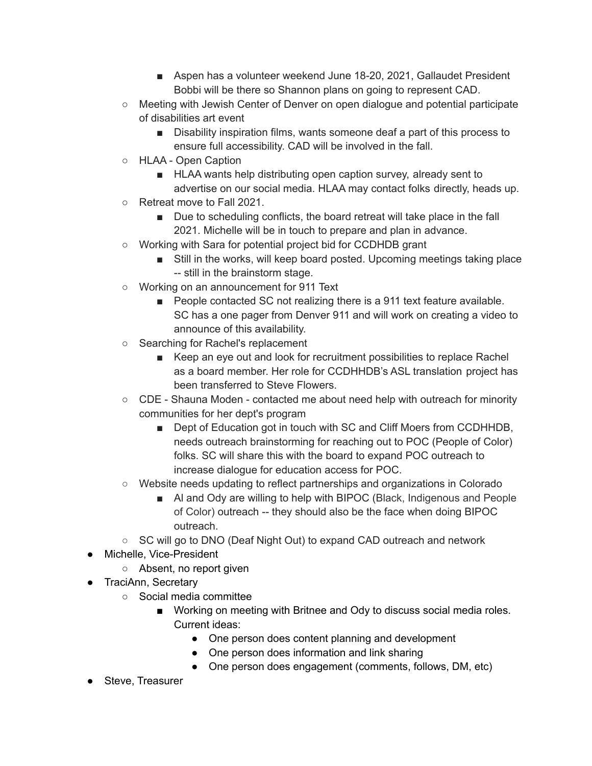- Aspen has a volunteer weekend June 18-20, 2021, Gallaudet President Bobbi will be there so Shannon plans on going to represent CAD.
- Meeting with Jewish Center of Denver on open dialogue and potential participate of disabilities art event
	- Disability inspiration films, wants someone deaf a part of this process to ensure full accessibility. CAD will be involved in the fall.
- HLAA Open Caption
	- HLAA wants help distributing open caption survey, already sent to advertise on our social media. HLAA may contact folks directly, heads up.
- Retreat move to Fall 2021.
	- Due to scheduling conflicts, the board retreat will take place in the fall 2021. Michelle will be in touch to prepare and plan in advance.
- Working with Sara for potential project bid for CCDHDB grant
	- Still in the works, will keep board posted. Upcoming meetings taking place -- still in the brainstorm stage.
- Working on an announcement for 911 Text
	- People contacted SC not realizing there is a 911 text feature available. SC has a one pager from Denver 911 and will work on creating a video to announce of this availability.
- Searching for Rachel's replacement
	- Keep an eye out and look for recruitment possibilities to replace Rachel as a board member. Her role for CCDHHDB's ASL translation project has been transferred to Steve Flowers.
- CDE Shauna Moden contacted me about need help with outreach for minority communities for her dept's program
	- Dept of Education got in touch with SC and Cliff Moers from CCDHHDB, needs outreach brainstorming for reaching out to POC (People of Color) folks. SC will share this with the board to expand POC outreach to increase dialogue for education access for POC.
- Website needs updating to reflect partnerships and organizations in Colorado
	- Al and Ody are willing to help with BIPOC (Black, Indigenous and People of Color) outreach -- they should also be the face when doing BIPOC outreach.
- SC will go to DNO (Deaf Night Out) to expand CAD outreach and network
- Michelle, Vice-President
	- Absent, no report given
- TraciAnn, Secretary
	- Social media committee
		- Working on meeting with Britnee and Ody to discuss social media roles. Current ideas:
			- One person does content planning and development
			- One person does information and link sharing
			- One person does engagement (comments, follows, DM, etc)
- Steve, Treasurer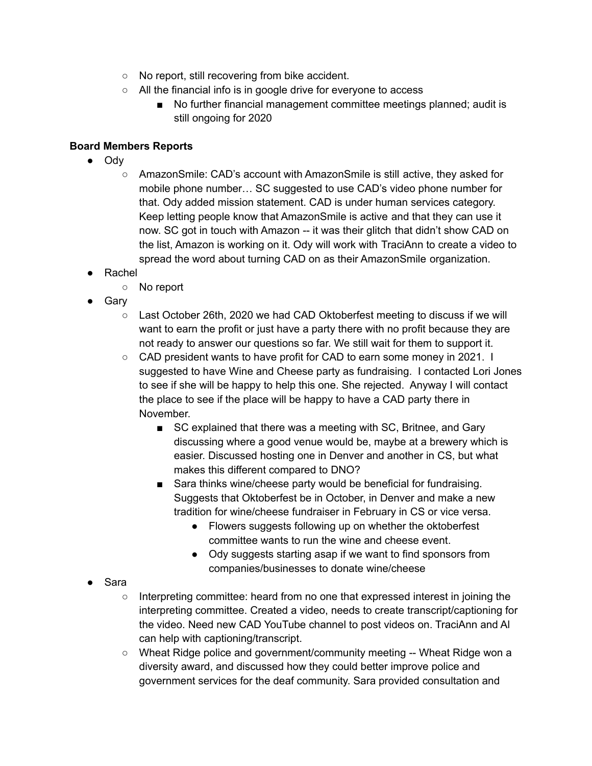- No report, still recovering from bike accident.
- All the financial info is in google drive for everyone to access
	- No further financial management committee meetings planned; audit is still ongoing for 2020

# **Board Members Reports**

- Ody
	- AmazonSmile: CAD's account with AmazonSmile is still active, they asked for mobile phone number… SC suggested to use CAD's video phone number for that. Ody added mission statement. CAD is under human services category. Keep letting people know that AmazonSmile is active and that they can use it now. SC got in touch with Amazon -- it was their glitch that didn't show CAD on the list, Amazon is working on it. Ody will work with TraciAnn to create a video to spread the word about turning CAD on as their AmazonSmile organization.
- Rachel
	- No report
- Gary
	- $\circ$  Last October 26th, 2020 we had CAD Oktoberfest meeting to discuss if we will want to earn the profit or just have a party there with no profit because they are not ready to answer our questions so far. We still wait for them to support it.
	- CAD president wants to have profit for CAD to earn some money in 2021. I suggested to have Wine and Cheese party as fundraising. I contacted Lori Jones to see if she will be happy to help this one. She rejected. Anyway I will contact the place to see if the place will be happy to have a CAD party there in November.
		- SC explained that there was a meeting with SC, Britnee, and Gary discussing where a good venue would be, maybe at a brewery which is easier. Discussed hosting one in Denver and another in CS, but what makes this different compared to DNO?
		- Sara thinks wine/cheese party would be beneficial for fundraising. Suggests that Oktoberfest be in October, in Denver and make a new tradition for wine/cheese fundraiser in February in CS or vice versa.
			- Flowers suggests following up on whether the oktoberfest committee wants to run the wine and cheese event.
			- Ody suggests starting asap if we want to find sponsors from companies/businesses to donate wine/cheese
- Sara
	- Interpreting committee: heard from no one that expressed interest in joining the interpreting committee. Created a video, needs to create transcript/captioning for the video. Need new CAD YouTube channel to post videos on. TraciAnn and Al can help with captioning/transcript.
	- Wheat Ridge police and government/community meeting -- Wheat Ridge won a diversity award, and discussed how they could better improve police and government services for the deaf community. Sara provided consultation and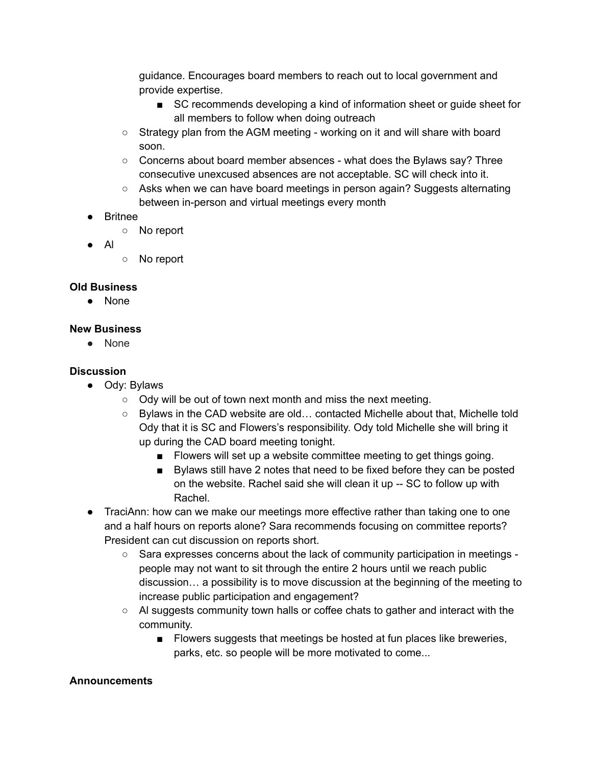guidance. Encourages board members to reach out to local government and provide expertise.

- SC recommends developing a kind of information sheet or guide sheet for all members to follow when doing outreach
- Strategy plan from the AGM meeting working on it and will share with board soon.
- $\circ$  Concerns about board member absences what does the Bylaws say? Three consecutive unexcused absences are not acceptable. SC will check into it.
- Asks when we can have board meetings in person again? Suggests alternating between in-person and virtual meetings every month
- Britnee
	- No report
- Al
- No report

### **Old Business**

● None

## **New Business**

● None

## **Discussion**

- Ody: Bylaws
	- Ody will be out of town next month and miss the next meeting.
	- Bylaws in the CAD website are old… contacted Michelle about that, Michelle told Ody that it is SC and Flowers's responsibility. Ody told Michelle she will bring it up during the CAD board meeting tonight.
		- Flowers will set up a website committee meeting to get things going.
		- Bylaws still have 2 notes that need to be fixed before they can be posted on the website. Rachel said she will clean it up -- SC to follow up with Rachel.
- TraciAnn: how can we make our meetings more effective rather than taking one to one and a half hours on reports alone? Sara recommends focusing on committee reports? President can cut discussion on reports short.
	- Sara expresses concerns about the lack of community participation in meetings people may not want to sit through the entire 2 hours until we reach public discussion… a possibility is to move discussion at the beginning of the meeting to increase public participation and engagement?
	- Al suggests community town halls or coffee chats to gather and interact with the community.
		- Flowers suggests that meetings be hosted at fun places like breweries, parks, etc. so people will be more motivated to come...

### **Announcements**